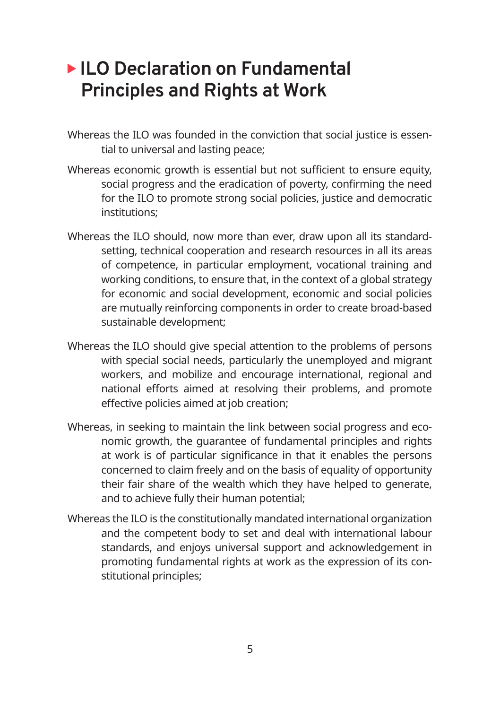# **ILO Declaration on Fundamental Principles and Rights at Work**

- Whereas the ILO was founded in the conviction that social justice is essential to universal and lasting peace;
- Whereas economic growth is essential but not sufficient to ensure equity, social progress and the eradication of poverty, confirming the need for the ILO to promote strong social policies, justice and democratic institutions;
- Whereas the ILO should, now more than ever, draw upon all its standardsetting, technical cooperation and research resources in all its areas of competence, in particular employment, vocational training and working conditions, to ensure that, in the context of a global strategy for economic and social development, economic and social policies are mutually reinforcing components in order to create broad-based sustainable development;
- Whereas the ILO should give special attention to the problems of persons with special social needs, particularly the unemployed and migrant workers, and mobilize and encourage international, regional and national efforts aimed at resolving their problems, and promote effective policies aimed at job creation;
- Whereas, in seeking to maintain the link between social progress and economic growth, the guarantee of fundamental principles and rights at work is of particular significance in that it enables the persons concerned to claim freely and on the basis of equality of opportunity their fair share of the wealth which they have helped to generate, and to achieve fully their human potential;
- Whereas the ILO is the constitutionally mandated international organization and the competent body to set and deal with international labour standards, and enjoys universal support and acknowledgement in promoting fundamental rights at work as the expression of its constitutional principles;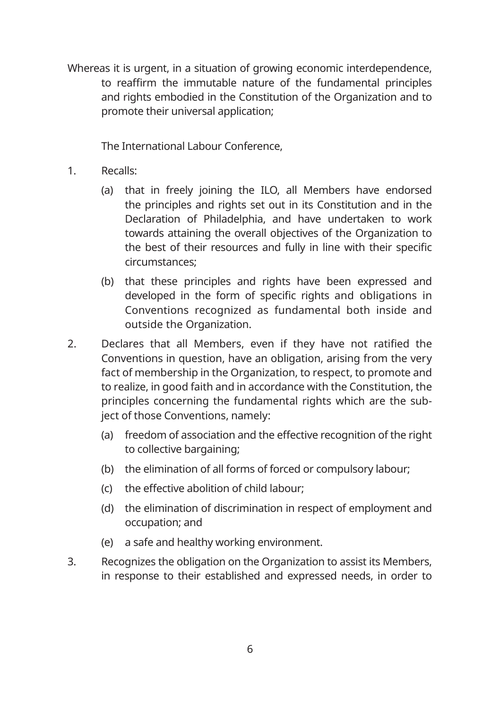Whereas it is urgent, in a situation of growing economic interdependence, to reaffirm the immutable nature of the fundamental principles and rights embodied in the Constitution of the Organization and to promote their universal application;

The International Labour Conference,

- 1. Recalls:
	- (a) that in freely joining the ILO, all Members have endorsed the principles and rights set out in its Constitution and in the Declaration of Philadelphia, and have undertaken to work towards attaining the overall objectives of the Organization to the best of their resources and fully in line with their specific circumstances;
	- (b) that these principles and rights have been expressed and developed in the form of specific rights and obligations in Conventions recognized as fundamental both inside and outside the Organization.
- 2. Declares that all Members, even if they have not ratified the Conventions in question, have an obligation, arising from the very fact of membership in the Organization, to respect, to promote and to realize, in good faith and in accordance with the Constitution, the principles concerning the fundamental rights which are the subject of those Conventions, namely:
	- (a) freedom of association and the effective recognition of the right to collective bargaining;
	- (b) the elimination of all forms of forced or compulsory labour;
	- (c) the effective abolition of child labour;
	- (d) the elimination of discrimination in respect of employment and occupation; and
	- (e) a safe and healthy working environment.
- 3. Recognizes the obligation on the Organization to assist its Members, in response to their established and expressed needs, in order to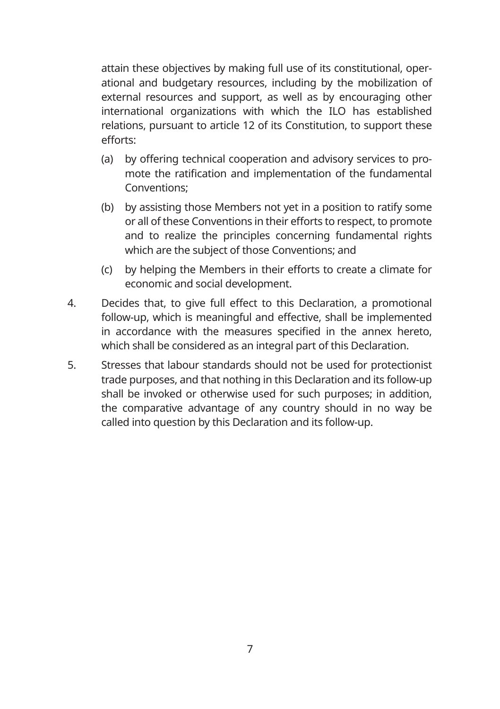attain these objectives by making full use of its constitutional, operational and budgetary resources, including by the mobilization of external resources and support, as well as by encouraging other international organizations with which the ILO has established relations, pursuant to article 12 of its Constitution, to support these efforts:

- (a) by offering technical cooperation and advisory services to promote the ratification and implementation of the fundamental Conventions;
- (b) by assisting those Members not yet in a position to ratify some or all of these Conventions in their efforts to respect, to promote and to realize the principles concerning fundamental rights which are the subject of those Conventions; and
- (c) by helping the Members in their efforts to create a climate for economic and social development.
- 4. Decides that, to give full effect to this Declaration, a promotional follow-up, which is meaningful and effective, shall be implemented in accordance with the measures specified in the annex hereto, which shall be considered as an integral part of this Declaration.
- 5. Stresses that labour standards should not be used for protectionist trade purposes, and that nothing in this Declaration and its follow-up shall be invoked or otherwise used for such purposes; in addition, the comparative advantage of any country should in no way be called into question by this Declaration and its follow-up.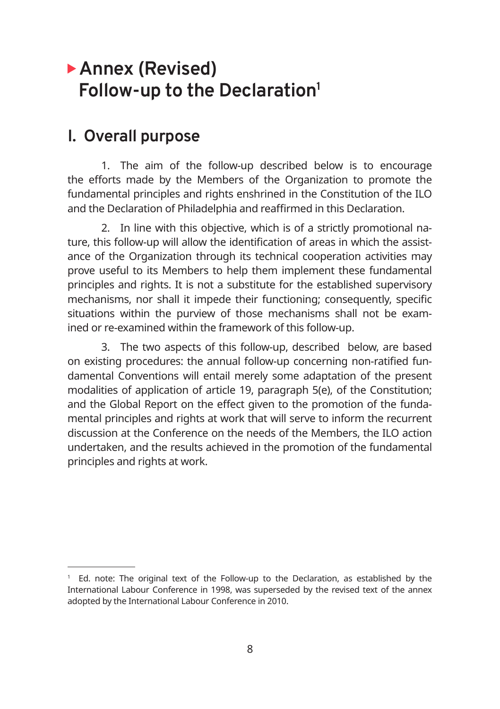# **Annex (Revised) Follow-up to the Declaration1**

### **I. Overall purpose**

1. The aim of the follow-up described below is to encourage the efforts made by the Members of the Organization to promote the fundamental principles and rights enshrined in the Constitution of the ILO and the Declaration of Philadelphia and reaffirmed in this Declaration.

2. In line with this objective, which is of a strictly promotional nature, this follow-up will allow the identification of areas in which the assistance of the Organization through its technical cooperation activities may prove useful to its Members to help them implement these fundamental principles and rights. It is not a substitute for the established supervisory mechanisms, nor shall it impede their functioning; consequently, specific situations within the purview of those mechanisms shall not be examined or re-examined within the framework of this follow-up.

3. The two aspects of this follow-up, described below, are based on existing procedures: the annual follow-up concerning non-ratified fundamental Conventions will entail merely some adaptation of the present modalities of application of article 19, paragraph 5(e), of the Constitution; and the Global Report on the effect given to the promotion of the fundamental principles and rights at work that will serve to inform the recurrent discussion at the Conference on the needs of the Members, the ILO action undertaken, and the results achieved in the promotion of the fundamental principles and rights at work.

<sup>1</sup> Ed. note: The original text of the Follow-up to the Declaration, as established by the International Labour Conference in 1998, was superseded by the revised text of the annex adopted by the International Labour Conference in 2010.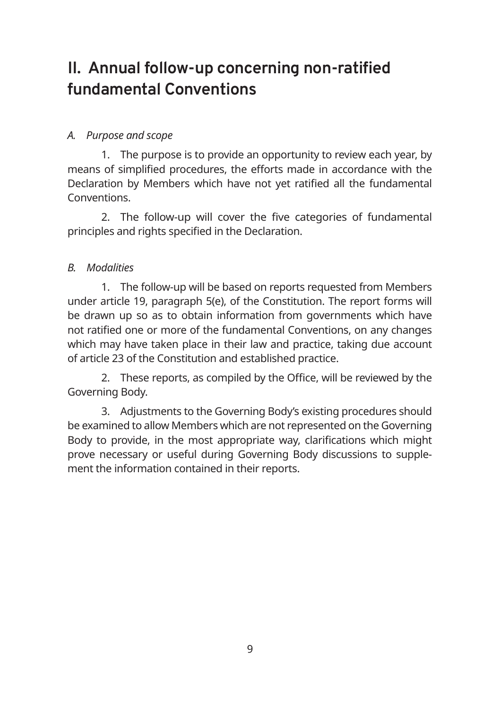# **II. Annual follow-up concerning non-ratified fundamental Conventions**

### *A. Purpose and scope*

1. The purpose is to provide an opportunity to review each year, by means of simplified procedures, the efforts made in accordance with the Declaration by Members which have not yet ratified all the fundamental Conventions.

2. The follow-up will cover the five categories of fundamental principles and rights specified in the Declaration.

### *B. Modalities*

1. The follow-up will be based on reports requested from Members under article 19, paragraph 5(e), of the Constitution. The report forms will be drawn up so as to obtain information from governments which have not ratified one or more of the fundamental Conventions, on any changes which may have taken place in their law and practice, taking due account of article 23 of the Constitution and established practice.

2. These reports, as compiled by the Office, will be reviewed by the Governing Body.

3. Adjustments to the Governing Body's existing procedures should be examined to allow Members which are not represented on the Governing Body to provide, in the most appropriate way, clarifications which might prove necessary or useful during Governing Body discussions to supplement the information contained in their reports.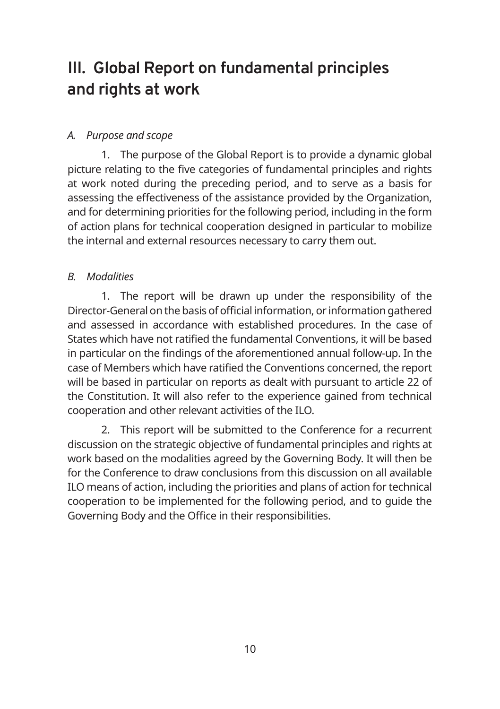# **III. Global Report on fundamental principles and rights at work**

#### *A. Purpose and scope*

1. The purpose of the Global Report is to provide a dynamic global picture relating to the five categories of fundamental principles and rights at work noted during the preceding period, and to serve as a basis for assessing the effectiveness of the assistance provided by the Organization, and for determining priorities for the following period, including in the form of action plans for technical cooperation designed in particular to mobilize the internal and external resources necessary to carry them out.

#### *B. Modalities*

1. The report will be drawn up under the responsibility of the Director-General on the basis of official information, or information gathered and assessed in accordance with established procedures. In the case of States which have not ratified the fundamental Conventions, it will be based in particular on the findings of the aforementioned annual follow-up. In the case of Members which have ratified the Conventions concerned, the report will be based in particular on reports as dealt with pursuant to article 22 of the Constitution. It will also refer to the experience gained from technical cooperation and other relevant activities of the ILO.

2. This report will be submitted to the Conference for a recurrent discussion on the strategic objective of fundamental principles and rights at work based on the modalities agreed by the Governing Body. It will then be for the Conference to draw conclusions from this discussion on all available ILO means of action, including the priorities and plans of action for technical cooperation to be implemented for the following period, and to guide the Governing Body and the Office in their responsibilities.